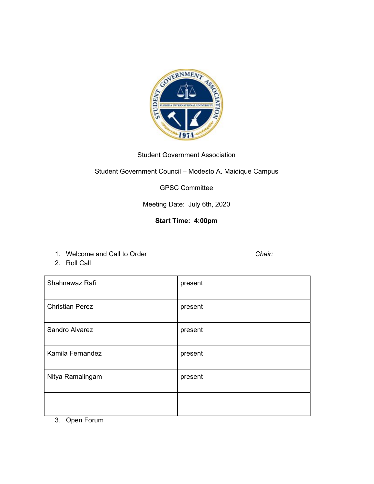

## Student Government Association

Student Government Council – Modesto A. Maidique Campus

GPSC Committee

Meeting Date: July 6th, 2020

## **Start Time: 4:00pm**

- 1. Welcome and Call to Order *Chair:*
- 2. Roll Call

| Shahnawaz Rafi         | present |
|------------------------|---------|
| <b>Christian Perez</b> | present |
| Sandro Alvarez         | present |
| Kamila Fernandez       | present |
| Nitya Ramalingam       | present |
|                        |         |

3. Open Forum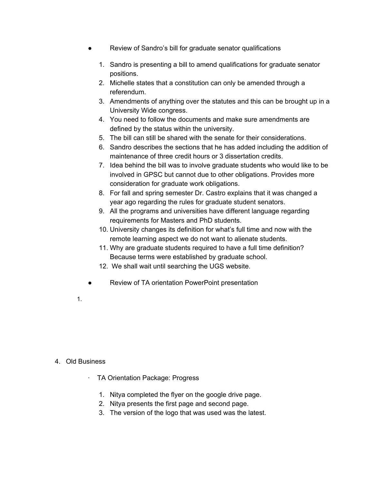- Review of Sandro's bill for graduate senator qualifications
	- 1. Sandro is presenting a bill to amend qualifications for graduate senator positions.
	- 2. Michelle states that a constitution can only be amended through a referendum.
	- 3. Amendments of anything over the statutes and this can be brought up in a University Wide congress.
	- 4. You need to follow the documents and make sure amendments are defined by the status within the university.
	- 5. The bill can still be shared with the senate for their considerations.
	- 6. Sandro describes the sections that he has added including the addition of maintenance of three credit hours or 3 dissertation credits.
	- 7. Idea behind the bill was to involve graduate students who would like to be involved in GPSC but cannot due to other obligations. Provides more consideration for graduate work obligations.
	- 8. For fall and spring semester Dr. Castro explains that it was changed a year ago regarding the rules for graduate student senators.
	- 9. All the programs and universities have different language regarding requirements for Masters and PhD students.
	- 10. University changes its definition for what's full time and now with the remote learning aspect we do not want to alienate students.
	- 11. Why are graduate students required to have a full time definition? Because terms were established by graduate school.
	- 12. We shall wait until searching the UGS website.
- Review of TA orientation PowerPoint presentation
- 1.

## 4. Old Business

- · TA Orientation Package: Progress
	- 1. Nitya completed the flyer on the google drive page.
	- 2. Nitya presents the first page and second page.
	- 3. The version of the logo that was used was the latest.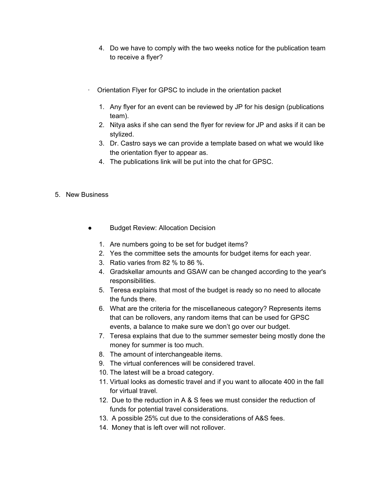- 4. Do we have to comply with the two weeks notice for the publication team to receive a flyer?
- · Orientation Flyer for GPSC to include in the orientation packet
	- 1. Any flyer for an event can be reviewed by JP for his design (publications team).
	- 2. Nitya asks if she can send the flyer for review for JP and asks if it can be stylized.
	- 3. Dr. Castro says we can provide a template based on what we would like the orientation flyer to appear as.
	- 4. The publications link will be put into the chat for GPSC.
- 5. New Business
	- **Budget Review: Allocation Decision** 
		- 1. Are numbers going to be set for budget items?
		- 2. Yes the committee sets the amounts for budget items for each year.
		- 3. Ratio varies from 82 % to 86 %.
		- 4. Gradskellar amounts and GSAW can be changed according to the year's responsibilities.
		- 5. Teresa explains that most of the budget is ready so no need to allocate the funds there.
		- 6. What are the criteria for the miscellaneous category? Represents items that can be rollovers, any random items that can be used for GPSC events, a balance to make sure we don't go over our budget.
		- 7. Teresa explains that due to the summer semester being mostly done the money for summer is too much.
		- 8. The amount of interchangeable items.
		- 9. The virtual conferences will be considered travel.
		- 10. The latest will be a broad category.
		- 11. Virtual looks as domestic travel and if you want to allocate 400 in the fall for virtual travel.
		- 12. Due to the reduction in A & S fees we must consider the reduction of funds for potential travel considerations.
		- 13. A possible 25% cut due to the considerations of A&S fees.
		- 14. Money that is left over will not rollover.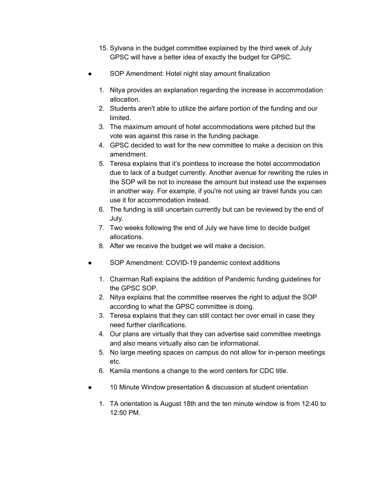- 15. Sylvana in the budget committee explained by the third week of July GPSC will have a better idea of exactly the budget for GPSC.
- SOP Amendment: Hotel night stay amount finalization
	- 1. Nitya provides an explanation regarding the increase in accommodation allocation.
	- 2. Students aren't able to utilize the airfare portion of the funding and our limited.
	- 3. The maximum amount of hotel accommodations were pitched but the vote was against this raise in the funding package.
	- 4. GPSC decided to wait for the new committee to make a decision on this amendment.
	- 5. Teresa explains that it's pointless to increase the hotel accommodation due to lack of a budget currently. Another avenue for rewriting the rules in the SOP will be not to increase the amount but instead use the expenses in another way. For example, if you're not using air travel funds you can use it for accommodation instead.
	- 6. The funding is still uncertain currently but can be reviewed by the end of July.
	- 7. Two weeks following the end of July we have time to decide budget allocations.
	- 8. After we receive the budget we will make a decision.
- SOP Amendment: COVID-19 pandemic context additions
	- 1. Chairman Rafi explains the addition of Pandemic funding guidelines for the GPSC SOP.
	- 2. Nitya explains that the committee reserves the right to adjust the SOP according to what the GPSC committee is doing.
	- 3. Teresa explains that they can still contact her over email in case they need further clarifications.
	- 4. Our plans are virtually that they can advertise said committee meetings and also means virtually also can be informational.
	- 5. No large meeting spaces on campus do not allow for in-person meetings etc.
	- 6. Kamila mentions a change to the word centers for CDC title.
- 10 Minute Window presentation & discussion at student orientation
	- 1. TA orientation is August 18th and the ten minute window is from 12:40 to 12:50 PM.